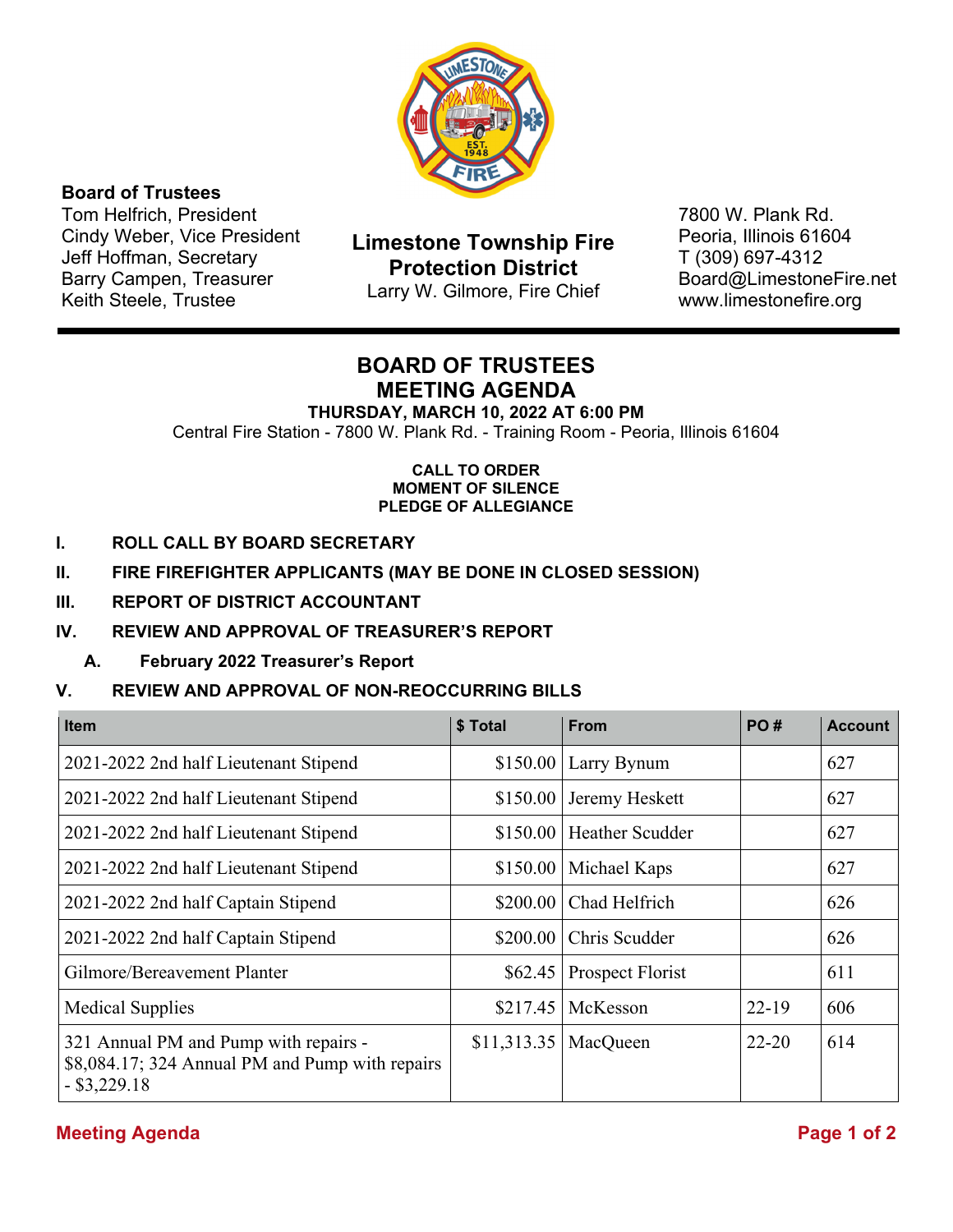

## **Board of Trustees**

Tom Helfrich, President Cindy Weber, Vice President Jeff Hoffman, Secretary Barry Campen, Treasurer Keith Steele, Trustee

**Limestone Township Fire Protection District**  Larry W. Gilmore, Fire Chief

7800 W. Plank Rd. Peoria, Illinois 61604 T (309) 697-4312 Board@LimestoneFire.net www.limestonefire.org

# **BOARD OF TRUSTEES MEETING AGENDA**

**THURSDAY, MARCH 10, 2022 AT 6:00 PM**

Central Fire Station - 7800 W. Plank Rd. - Training Room - Peoria, Illinois 61604

#### **CALL TO ORDER MOMENT OF SILENCE PLEDGE OF ALLEGIANCE**

- **I. ROLL CALL BY BOARD SECRETARY**
- **II. FIRE FIREFIGHTER APPLICANTS (MAY BE DONE IN CLOSED SESSION)**
- **III. REPORT OF DISTRICT ACCOUNTANT**

#### **IV. REVIEW AND APPROVAL OF TREASURER'S REPORT**

**A. February 2022 Treasurer's Report** 

#### **V. REVIEW AND APPROVAL OF NON-REOCCURRING BILLS**

| <b>Item</b>                                                                                                | \$ Total    | <b>From</b>      | <b>PO#</b> | <b>Account</b> |
|------------------------------------------------------------------------------------------------------------|-------------|------------------|------------|----------------|
| 2021-2022 2nd half Lieutenant Stipend                                                                      | \$150.00    | Larry Bynum      |            | 627            |
| 2021-2022 2nd half Lieutenant Stipend                                                                      | \$150.00    | Jeremy Heskett   |            | 627            |
| 2021-2022 2nd half Lieutenant Stipend                                                                      | \$150.00    | Heather Scudder  |            | 627            |
| 2021-2022 2nd half Lieutenant Stipend                                                                      | \$150.00    | Michael Kaps     |            | 627            |
| 2021-2022 2nd half Captain Stipend                                                                         | \$200.00    | Chad Helfrich    |            | 626            |
| 2021-2022 2nd half Captain Stipend                                                                         | \$200.00    | Chris Scudder    |            | 626            |
| Gilmore/Bereavement Planter                                                                                | \$62.45     | Prospect Florist |            | 611            |
| <b>Medical Supplies</b>                                                                                    | \$217.45    | McKesson         | $22-19$    | 606            |
| 321 Annual PM and Pump with repairs -<br>\$8,084.17; 324 Annual PM and Pump with repairs<br>$-$ \$3,229.18 | \$11,313.35 | MacQueen         | $22 - 20$  | 614            |

#### **Meeting Agenda** Page 1 of 2